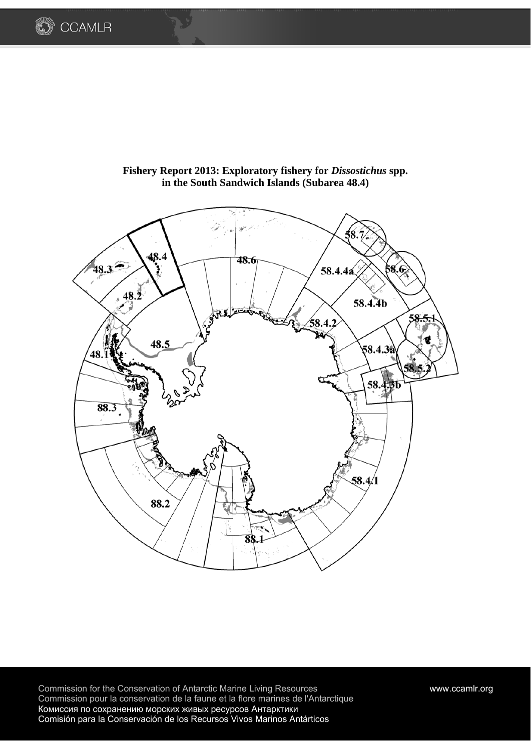



Fishery Report 2013: Exploratory fishery for *Dissostichus* spp. **in the South Sandwich Islands (Subarea 48.4)** 

Commission for the Conservation of Antarctic Marine Living Resources www.ccamlr.org Commission pour la conservation de la faune et la flore marines de l'Antarctique Комиссия по сохранению морских живых ресурсов Антарктики Comisión para la Conservación de los Recursos Vivos Marinos Antárticos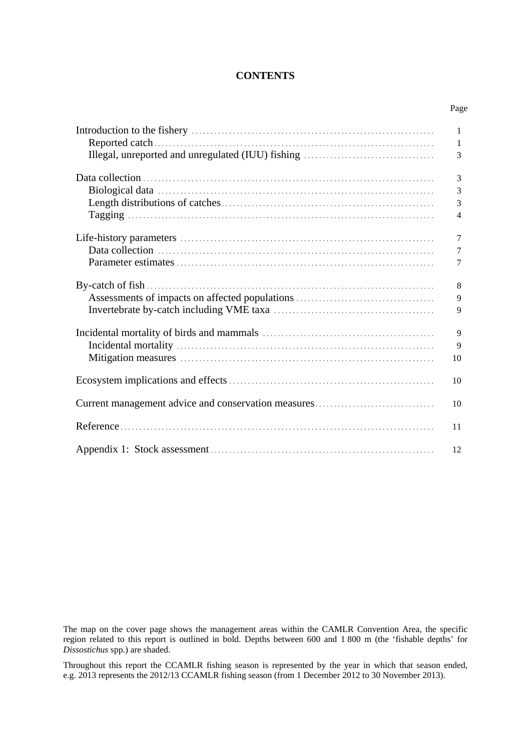## **CONTENTS**

Page

|                                                     | 1              |
|-----------------------------------------------------|----------------|
|                                                     | 1              |
|                                                     | 3              |
|                                                     |                |
|                                                     | 3              |
|                                                     | 3              |
|                                                     | 3              |
|                                                     | $\overline{4}$ |
|                                                     |                |
|                                                     | 7              |
|                                                     | 7              |
|                                                     | 7              |
|                                                     |                |
|                                                     | 8              |
|                                                     | 9              |
|                                                     | 9              |
|                                                     |                |
|                                                     | 9              |
|                                                     | 9              |
|                                                     | 10             |
|                                                     | 10             |
|                                                     |                |
| Current management advice and conservation measures | 10             |
|                                                     |                |
|                                                     | 11             |
|                                                     |                |
|                                                     | 12             |

The map on the cover page shows the management areas within the CAMLR Convention Area, the specific region related to this report is outlined in bold. Depths between 600 and 1 800 m (the 'fishable depths' for *Dissostichus* spp.) are shaded.

Throughout this report the CCAMLR fishing season is represented by the year in which that season ended, e.g. 2013 represents the 2012/13 CCAMLR fishing season (from 1 December 2012 to 30 November 2013).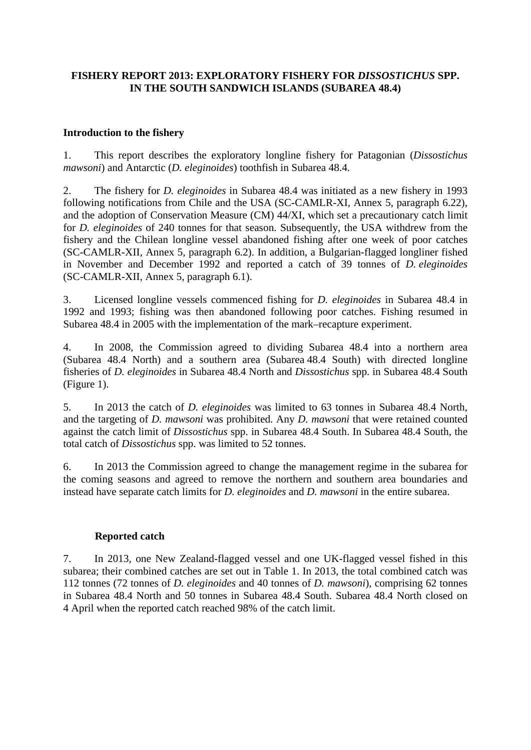# **FISHERY REPORT 2013: EXPLORATORY FISHERY FOR** *DISSOSTICHUS* **SPP. IN THE SOUTH SANDWICH ISLANDS (SUBAREA 48.4)**

## **Introduction to the fishery**

1. This report describes the exploratory longline fishery for Patagonian (*Dissostichus mawsoni*) and Antarctic (*D. eleginoides*) toothfish in Subarea 48.4.

2. The fishery for *D. eleginoides* in Subarea 48.4 was initiated as a new fishery in 1993 following notifications from Chile and the USA (SC-CAMLR-XI, Annex 5, paragraph 6.22), and the adoption of Conservation Measure (CM) 44/XI, which set a precautionary catch limit for *D. eleginoides* of 240 tonnes for that season. Subsequently, the USA withdrew from the fishery and the Chilean longline vessel abandoned fishing after one week of poor catches (SC-CAMLR-XII, Annex 5, paragraph 6.2). In addition, a Bulgarian-flagged longliner fished in November and December 1992 and reported a catch of 39 tonnes of *D. eleginoides* (SC-CAMLR-XII, Annex 5, paragraph 6.1).

3. Licensed longline vessels commenced fishing for *D. eleginoides* in Subarea 48.4 in 1992 and 1993; fishing was then abandoned following poor catches. Fishing resumed in Subarea 48.4 in 2005 with the implementation of the mark–recapture experiment.

4. In 2008, the Commission agreed to dividing Subarea 48.4 into a northern area (Subarea 48.4 North) and a southern area (Subarea 48.4 South) with directed longline fisheries of *D. eleginoides* in Subarea 48.4 North and *Dissostichus* spp. in Subarea 48.4 South (Figure 1).

5. In 2013 the catch of *D. eleginoides* was limited to 63 tonnes in Subarea 48.4 North, and the targeting of *D. mawsoni* was prohibited. Any *D. mawsoni* that were retained counted against the catch limit of *Dissostichus* spp. in Subarea 48.4 South. In Subarea 48.4 South, the total catch of *Dissostichus* spp. was limited to 52 tonnes.

6. In 2013 the Commission agreed to change the management regime in the subarea for the coming seasons and agreed to remove the northern and southern area boundaries and instead have separate catch limits for *D. eleginoides* and *D. mawsoni* in the entire subarea.

### **Reported catch**

7. In 2013, one New Zealand-flagged vessel and one UK-flagged vessel fished in this subarea; their combined catches are set out in Table 1. In 2013, the total combined catch was 112 tonnes (72 tonnes of *D. eleginoides* and 40 tonnes of *D. mawsoni*), comprising 62 tonnes in Subarea 48.4 North and 50 tonnes in Subarea 48.4 South. Subarea 48.4 North closed on 4 April when the reported catch reached 98% of the catch limit.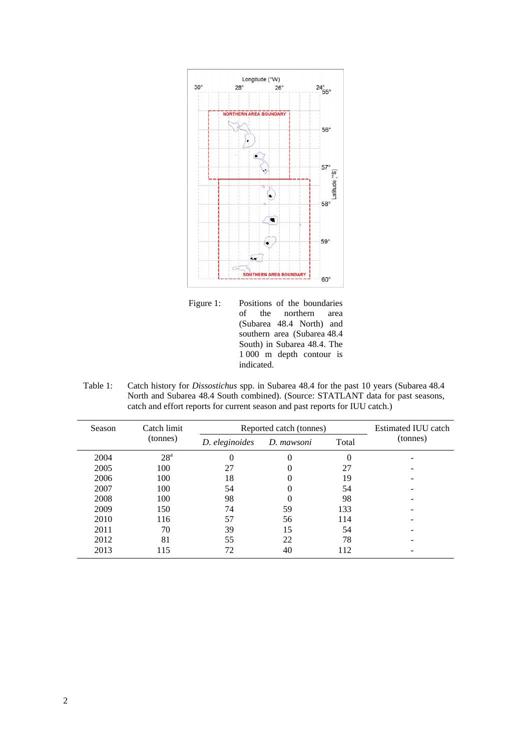

Figure 1: Positions of the boundaries<br>of the northern area of the northern area (Subarea 48.4 North) and southern area (Subarea 48.4 South) in Subarea 48.4. The 1 000 m depth contour is indicated.

Table 1: Catch history for *Dissostichus* spp. in Subarea 48.4 for the past 10 years (Subarea 48.4 North and Subarea 48.4 South combined). (Source: STATLANT data for past seasons, catch and effort reports for current season and past reports for IUU catch.)

| Season   | Catch limit     | Reported catch (tonnes) | Estimated IUU catch |       |          |
|----------|-----------------|-------------------------|---------------------|-------|----------|
| (tonnes) |                 | D. eleginoides          | D. mawsoni          | Total | (tonnes) |
| 2004     | 28 <sup>a</sup> | 0                       | 0                   | 0     |          |
| 2005     | 100             | 27                      | 0                   | 27    |          |
| 2006     | 100             | 18                      | 0                   | 19    |          |
| 2007     | 100             | 54                      | 0                   | 54    |          |
| 2008     | 100             | 98                      | 0                   | 98    |          |
| 2009     | 150             | 74                      | 59                  | 133   |          |
| 2010     | 116             | 57                      | 56                  | 114   |          |
| 2011     | 70              | 39                      | 15                  | 54    |          |
| 2012     | 81              | 55                      | 22                  | 78    |          |
| 2013     | 115             | 72                      | 40                  | 112   |          |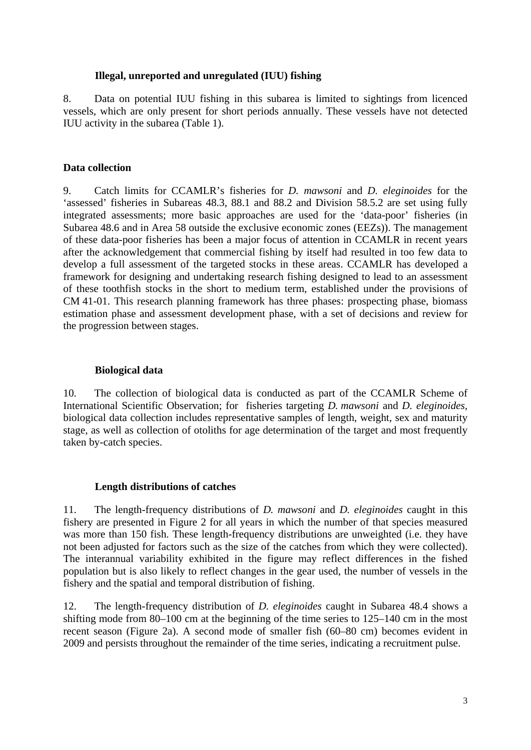### **Illegal, unreported and unregulated (IUU) fishing**

8. Data on potential IUU fishing in this subarea is limited to sightings from licenced vessels, which are only present for short periods annually. These vessels have not detected IUU activity in the subarea (Table 1).

### **Data collection**

9. Catch limits for CCAMLR's fisheries for *D. mawsoni* and *D. eleginoides* for the 'assessed' fisheries in Subareas 48.3, 88.1 and 88.2 and Division 58.5.2 are set using fully integrated assessments; more basic approaches are used for the 'data-poor' fisheries (in Subarea 48.6 and in Area 58 outside the exclusive economic zones (EEZs)). The management of these data-poor fisheries has been a major focus of attention in CCAMLR in recent years after the acknowledgement that commercial fishing by itself had resulted in too few data to develop a full assessment of the targeted stocks in these areas. CCAMLR has developed a framework for designing and undertaking research fishing designed to lead to an assessment of these toothfish stocks in the short to medium term, established under the provisions of CM 41-01. This research planning framework has three phases: prospecting phase, biomass estimation phase and assessment development phase, with a set of decisions and review for the progression between stages.

### **Biological data**

10. The collection of biological data is conducted as part of the CCAMLR Scheme of International Scientific Observation; for fisheries targeting *D. mawsoni* and *D. eleginoides,*  biological data collection includes representative samples of length, weight, sex and maturity stage, as well as collection of otoliths for age determination of the target and most frequently taken by-catch species.

### **Length distributions of catches**

11. The length-frequency distributions of *D. mawsoni* and *D. eleginoides* caught in this fishery are presented in Figure 2 for all years in which the number of that species measured was more than 150 fish. These length-frequency distributions are unweighted (i.e. they have not been adjusted for factors such as the size of the catches from which they were collected). The interannual variability exhibited in the figure may reflect differences in the fished population but is also likely to reflect changes in the gear used, the number of vessels in the fishery and the spatial and temporal distribution of fishing.

12. The length-frequency distribution of *D. eleginoides* caught in Subarea 48.4 shows a shifting mode from 80–100 cm at the beginning of the time series to 125–140 cm in the most recent season (Figure 2a). A second mode of smaller fish (60–80 cm) becomes evident in 2009 and persists throughout the remainder of the time series, indicating a recruitment pulse.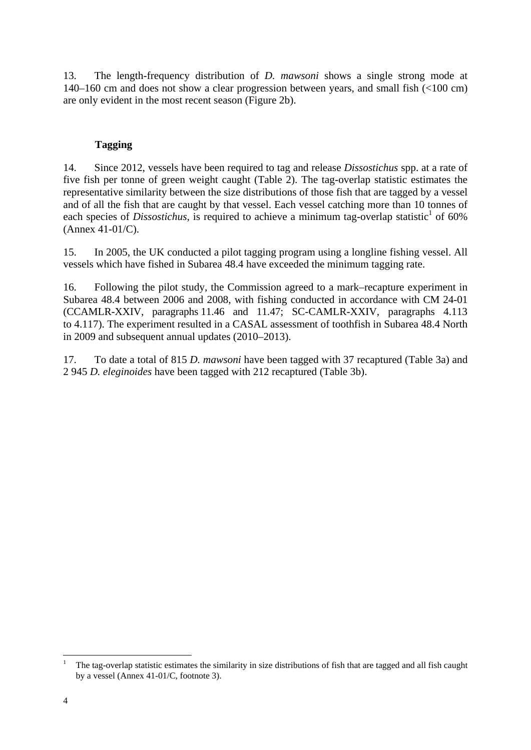13. The length-frequency distribution of *D. mawsoni* shows a single strong mode at 140–160 cm and does not show a clear progression between years, and small fish (<100 cm) are only evident in the most recent season (Figure 2b).

# **Tagging**

14. Since 2012, vessels have been required to tag and release *Dissostichus* spp. at a rate of five fish per tonne of green weight caught (Table 2). The tag-overlap statistic estimates the representative similarity between the size distributions of those fish that are tagged by a vessel and of all the fish that are caught by that vessel. Each vessel catching more than 10 tonnes of each species of *Dissostichus*, is required to achieve a minimum tag-overlap statistic<sup>1</sup> of 60% (Annex 41-01/C).

15. In 2005, the UK conducted a pilot tagging program using a longline fishing vessel. All vessels which have fished in Subarea 48.4 have exceeded the minimum tagging rate.

16. Following the pilot study, the Commission agreed to a mark–recapture experiment in Subarea 48.4 between 2006 and 2008, with fishing conducted in accordance with CM 24-01 (CCAMLR-XXIV, paragraphs 11.46 and 11.47; SC-CAMLR-XXIV, paragraphs 4.113 to 4.117). The experiment resulted in a CASAL assessment of toothfish in Subarea 48.4 North in 2009 and subsequent annual updates (2010–2013).

17. To date a total of 815 *D. mawsoni* have been tagged with 37 recaptured (Table 3a) and 2 945 *D. eleginoides* have been tagged with 212 recaptured (Table 3b).

1

<sup>1</sup> The tag-overlap statistic estimates the similarity in size distributions of fish that are tagged and all fish caught by a vessel (Annex 41-01/C, footnote 3).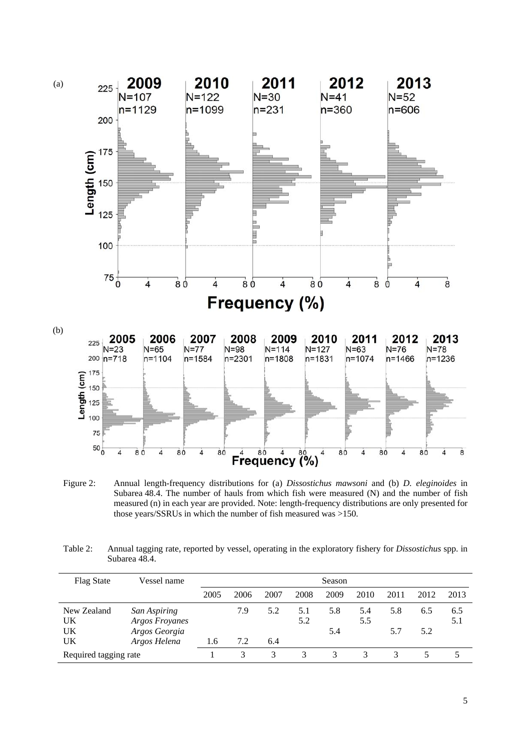

Figure 2: Annual length-frequency distributions for (a) *Dissostichus mawsoni* and (b) *D. eleginoides* in Subarea 48.4. The number of hauls from which fish were measured (N) and the number of fish measured (n) in each year are provided. Note: length-frequency distributions are only presented for those years/SSRUs in which the number of fish measured was >150.

| Table 2: | Annual tagging rate, reported by vessel, operating in the exploratory fishery for <i>Dissostichus</i> spp. in |
|----------|---------------------------------------------------------------------------------------------------------------|
|          | Subarea 48.4.                                                                                                 |

| <b>Flag State</b>     | Vessel name                           | Season |      |      |            |      |            |      |      |            |
|-----------------------|---------------------------------------|--------|------|------|------------|------|------------|------|------|------------|
|                       |                                       | 2005   | 2006 | 2007 | 2008       | 2009 | 2010       | 2011 | 2012 | 2013       |
| New Zealand<br>UK     | San Aspiring<br><b>Argos Froyanes</b> |        | 7.9  | 5.2  | 5.1<br>5.2 | 5.8  | 5.4<br>5.5 | 5.8  | 6.5  | 6.5<br>5.1 |
| UK                    | Argos Georgia                         |        |      |      |            | 5.4  |            | 5.7  | 5.2  |            |
| UK                    | Argos Helena                          | 1.6    | 7.2  | 6.4  |            |      |            |      |      |            |
| Required tagging rate |                                       |        | 3    | 3    | 3          | 3    |            |      |      |            |

5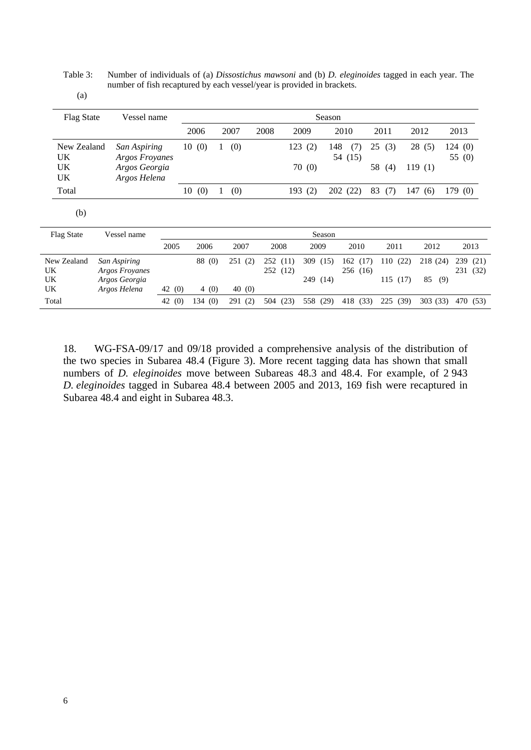Table 3: Number of individuals of (a) *Dissostichus mawsoni* and (b) *D. eleginoides* tagged in each year. The number of fish recaptured by each vessel/year is provided in brackets.

| <b>Flag State</b><br>Vessel name |                                                 |          | Season |        |   |        |                     |     |                      |        |                     |    |                |      |                       |        |                      |
|----------------------------------|-------------------------------------------------|----------|--------|--------|---|--------|---------------------|-----|----------------------|--------|---------------------|----|----------------|------|-----------------------|--------|----------------------|
|                                  |                                                 |          |        | 2006   |   | 2007   | 2008                |     | 2009                 |        | 2010                |    | 2011           |      | 2012                  | 2013   |                      |
| New Zealand<br>UK                | San Aspiring<br>Argos Froyanes                  |          | 10     | (0)    |   | (0)    |                     | 123 | (2)                  | 148    | (7)<br>54 (15)      | 25 | (3)            |      | 28(5)                 | 124(0) | 55 (0)               |
| UK<br>UK                         | Argos Georgia<br>Argos Helena                   |          |        |        |   |        |                     |     | 70(0)                |        |                     | 58 | (4)            |      | 119(1)                |        |                      |
| Total                            |                                                 |          |        | 10(0)  | 1 | (0)    |                     |     | 193(2)               |        | 202 (22)            | 83 | (7)            |      | 147(6)                | 179(0) |                      |
| (b)                              |                                                 |          |        |        |   |        |                     |     |                      |        |                     |    |                |      |                       |        |                      |
| <b>Flag State</b>                | Vessel name                                     |          |        |        |   |        |                     |     |                      | Season |                     |    |                |      |                       |        |                      |
|                                  |                                                 | 2005     |        | 2006   |   | 2007   | 2008                |     | 2009                 |        | 2010                |    | 2011           |      | 2012                  |        | 2013                 |
| New Zealand<br>UK<br>UK          | San Aspiring<br>Argos Froyanes<br>Argos Georgia |          |        | 88 (0) |   | 251(2) | 252(11)<br>252 (12) |     | 309 (15)<br>249 (14) |        | 162(17)<br>256 (16) |    | 110(22)<br>115 | (17) | 218 (24)<br>85<br>(9) |        | 239 (21)<br>231 (32) |
| UK                               | Argos Helena                                    | 42 (0)   |        | 4(0)   |   | 40(0)  |                     |     |                      |        |                     |    |                |      |                       |        |                      |
| Total                            |                                                 | 42 $(0)$ |        | 134(0) |   | 291(2) | 504 (23)            |     | 558 (29)             |        | 418 (33)            |    | 225            | (39) | 303 (33)              |        | 470 (53)             |

18. WG-FSA-09/17 and 09/18 provided a comprehensive analysis of the distribution of the two species in Subarea 48.4 (Figure 3). More recent tagging data has shown that small numbers of *D. eleginoides* move between Subareas 48.3 and 48.4. For example, of 2 943 *D. eleginoides* tagged in Subarea 48.4 between 2005 and 2013, 169 fish were recaptured in Subarea 48.4 and eight in Subarea 48.3.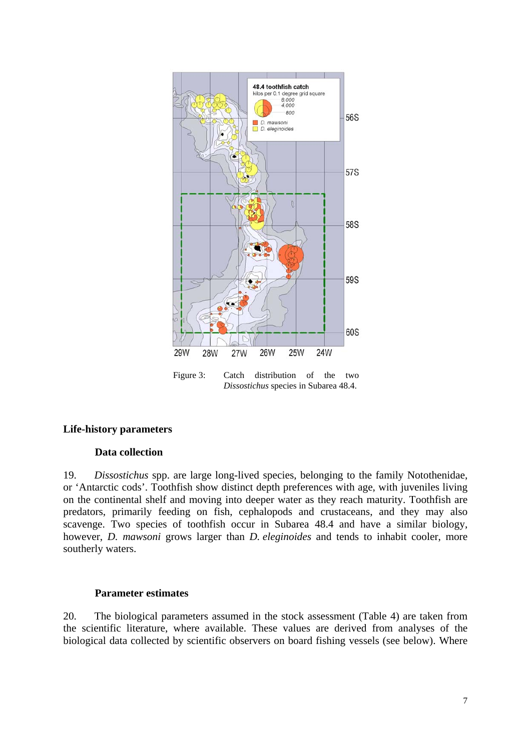

Figure 3: Catch distribution of the two *Dissostichus* species in Subarea 48.4.

### **Life-history parameters**

### **Data collection**

19. *Dissostichus* spp. are large long-lived species, belonging to the family Notothenidae, or 'Antarctic cods'. Toothfish show distinct depth preferences with age, with juveniles living on the continental shelf and moving into deeper water as they reach maturity. Toothfish are predators, primarily feeding on fish, cephalopods and crustaceans, and they may also scavenge. Two species of toothfish occur in Subarea 48.4 and have a similar biology, however, *D. mawsoni* grows larger than *D. eleginoides* and tends to inhabit cooler, more southerly waters.

### **Parameter estimates**

20. The biological parameters assumed in the stock assessment (Table 4) are taken from the scientific literature, where available. These values are derived from analyses of the biological data collected by scientific observers on board fishing vessels (see below). Where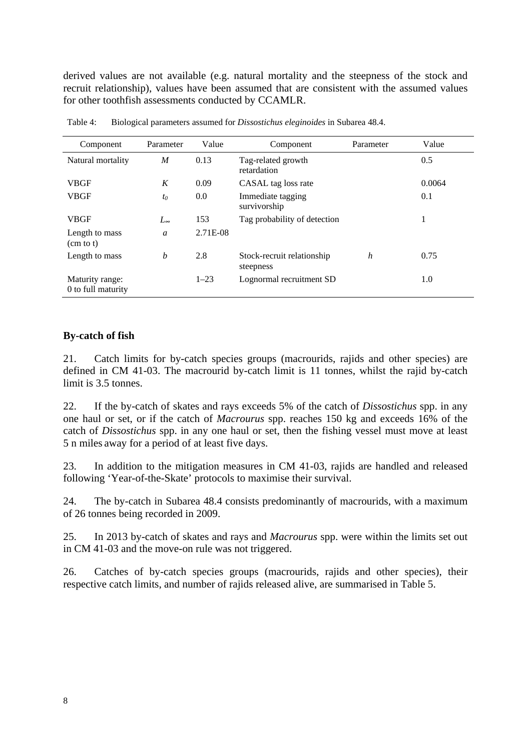derived values are not available (e.g. natural mortality and the steepness of the stock and recruit relationship), values have been assumed that are consistent with the assumed values for other toothfish assessments conducted by CCAMLR.

| Component                              | Parameter                      | Value    | Component                               | Parameter | Value  |
|----------------------------------------|--------------------------------|----------|-----------------------------------------|-----------|--------|
| Natural mortality                      | M                              | 0.13     | Tag-related growth<br>retardation       |           | 0.5    |
| <b>VBGF</b>                            | K                              | 0.09     | CASAL tag loss rate                     |           | 0.0064 |
| <b>VBGF</b>                            | $t_0$                          | 0.0      | Immediate tagging<br>survivorship       |           | 0.1    |
| <b>VBGF</b>                            | $L_{\scriptscriptstyle\infty}$ | 153      | Tag probability of detection            |           | 1      |
| Length to mass<br>$(cm \text{ to } t)$ | a                              | 2.71E-08 |                                         |           |        |
| Length to mass                         | b                              | 2.8      | Stock-recruit relationship<br>steepness | h         | 0.75   |
| Maturity range:<br>0 to full maturity  |                                | $1 - 23$ | Lognormal recruitment SD                |           | 1.0    |

Table 4: Biological parameters assumed for *Dissostichus eleginoides* in Subarea 48.4.

### **By-catch of fish**

21. Catch limits for by-catch species groups (macrourids, rajids and other species) are defined in CM 41-03. The macrourid by-catch limit is 11 tonnes, whilst the rajid by-catch limit is 3.5 tonnes.

22. If the by-catch of skates and rays exceeds 5% of the catch of *Dissostichus* spp. in any one haul or set, or if the catch of *Macrourus* spp. reaches 150 kg and exceeds 16% of the catch of *Dissostichus* spp. in any one haul or set, then the fishing vessel must move at least 5 n miles away for a period of at least five days.

23. In addition to the mitigation measures in CM 41-03, rajids are handled and released following 'Year-of-the-Skate' protocols to maximise their survival.

24. The by-catch in Subarea 48.4 consists predominantly of macrourids, with a maximum of 26 tonnes being recorded in 2009.

25. In 2013 by-catch of skates and rays and *Macrourus* spp. were within the limits set out in CM 41-03 and the move-on rule was not triggered.

26. Catches of by-catch species groups (macrourids, rajids and other species), their respective catch limits, and number of rajids released alive, are summarised in Table 5.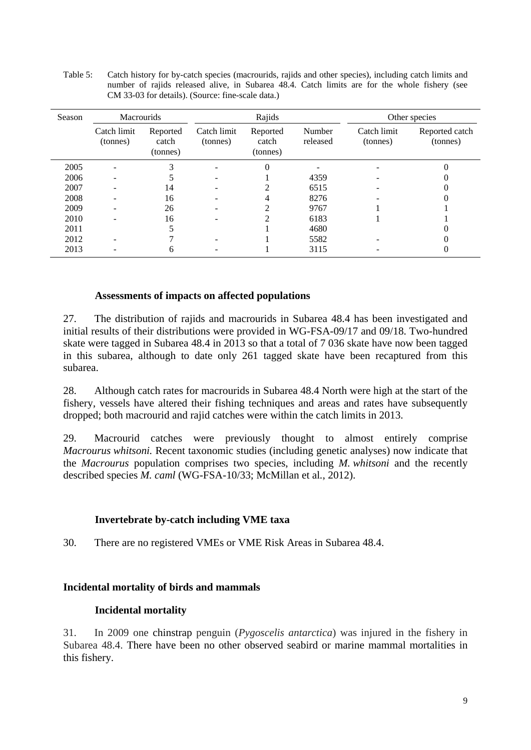| Table 5: | Catch history for by-catch species (macrourids, rajids and other species), including catch limits and |
|----------|-------------------------------------------------------------------------------------------------------|
|          | number of rajids released alive, in Subarea 48.4. Catch limits are for the whole fishery (see         |
|          | CM 33-03 for details). (Source: fine-scale data.)                                                     |

| Season | <b>Macrourids</b>        |                               |                         | Rajids                        |                    | Other species           |                            |  |
|--------|--------------------------|-------------------------------|-------------------------|-------------------------------|--------------------|-------------------------|----------------------------|--|
|        | Catch limit<br>(tonnes)  | Reported<br>catch<br>(tonnes) | Catch limit<br>(tonnes) | Reported<br>catch<br>(tonnes) | Number<br>released | Catch limit<br>(tonnes) | Reported catch<br>(tonnes) |  |
| 2005   | $\overline{\phantom{a}}$ | 3                             |                         | $\theta$                      |                    |                         |                            |  |
| 2006   | $\overline{\phantom{a}}$ |                               | -                       |                               | 4359               |                         |                            |  |
| 2007   |                          | 14                            |                         |                               | 6515               |                         |                            |  |
| 2008   |                          | 16                            |                         |                               | 8276               |                         |                            |  |
| 2009   |                          | 26                            |                         |                               | 9767               |                         |                            |  |
| 2010   |                          | 16                            |                         |                               | 6183               |                         |                            |  |
| 2011   |                          |                               |                         |                               | 4680               |                         |                            |  |
| 2012   |                          |                               |                         |                               | 5582               |                         |                            |  |
| 2013   |                          | 6                             |                         |                               | 3115               |                         |                            |  |

#### **Assessments of impacts on affected populations**

27. The distribution of rajids and macrourids in Subarea 48.4 has been investigated and initial results of their distributions were provided in WG-FSA-09/17 and 09/18. Two-hundred skate were tagged in Subarea 48.4 in 2013 so that a total of 7 036 skate have now been tagged in this subarea, although to date only 261 tagged skate have been recaptured from this subarea.

28. Although catch rates for macrourids in Subarea 48.4 North were high at the start of the fishery, vessels have altered their fishing techniques and areas and rates have subsequently dropped; both macrourid and rajid catches were within the catch limits in 2013.

29. Macrourid catches were previously thought to almost entirely comprise *Macrourus whitsoni.* Recent taxonomic studies (including genetic analyses) now indicate that the *Macrourus* population comprises two species, including *M. whitsoni* and the recently described species *M. caml* (WG-FSA-10/33; McMillan et al*.*, 2012).

#### **Invertebrate by-catch including VME taxa**

30. There are no registered VMEs or VME Risk Areas in Subarea 48.4.

#### **Incidental mortality of birds and mammals**

#### **Incidental mortality**

31. In 2009 one chinstrap penguin (*Pygoscelis antarctica*) was injured in the fishery in Subarea 48.4. There have been no other observed seabird or marine mammal mortalities in this fishery.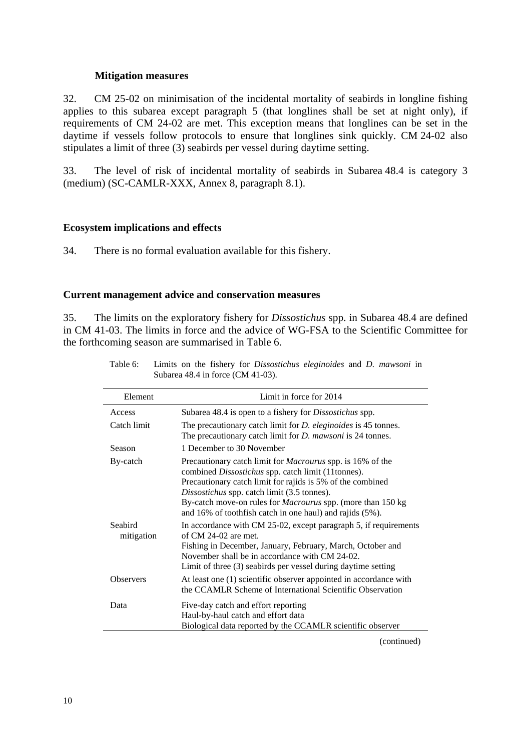### **Mitigation measures**

32. CM 25-02 on minimisation of the incidental mortality of seabirds in longline fishing applies to this subarea except paragraph 5 (that longlines shall be set at night only), if requirements of CM 24-02 are met. This exception means that longlines can be set in the daytime if vessels follow protocols to ensure that longlines sink quickly. CM 24-02 also stipulates a limit of three (3) seabirds per vessel during daytime setting.

33. The level of risk of incidental mortality of seabirds in Subarea 48.4 is category 3 (medium) (SC-CAMLR-XXX, Annex 8, paragraph 8.1).

### **Ecosystem implications and effects**

34. There is no formal evaluation available for this fishery.

### **Current management advice and conservation measures**

35. The limits on the exploratory fishery for *Dissostichus* spp. in Subarea 48.4 are defined in CM 41-03. The limits in force and the advice of WG-FSA to the Scientific Committee for the forthcoming season are summarised in Table 6.

| Element               | Limit in force for 2014                                                                                                                                                                                                                                                                                                                                                 |
|-----------------------|-------------------------------------------------------------------------------------------------------------------------------------------------------------------------------------------------------------------------------------------------------------------------------------------------------------------------------------------------------------------------|
| Access                | Subarea 48.4 is open to a fishery for <i>Dissostichus</i> spp.                                                                                                                                                                                                                                                                                                          |
| Catch limit           | The precautionary catch limit for <i>D. eleginoides</i> is 45 tonnes.<br>The precautionary catch limit for <i>D. mawsoni</i> is 24 tonnes.                                                                                                                                                                                                                              |
| Season                | 1 December to 30 November                                                                                                                                                                                                                                                                                                                                               |
| By-catch              | Precautionary catch limit for <i>Macrourus</i> spp. is 16% of the<br>combined Dissostichus spp. catch limit (11tonnes).<br>Precautionary catch limit for rajids is 5% of the combined<br>Dissostichus spp. catch limit (3.5 tonnes).<br>By-catch move-on rules for <i>Macrourus</i> spp. (more than 150 kg)<br>and 16% of toothfish catch in one haul) and rajids (5%). |
| Seabird<br>mitigation | In accordance with CM 25-02, except paragraph 5, if requirements<br>of $CM$ 24-02 are met.<br>Fishing in December, January, February, March, October and<br>November shall be in accordance with CM 24-02.<br>Limit of three (3) seabirds per vessel during daytime setting                                                                                             |
| <b>Observers</b>      | At least one (1) scientific observer appointed in accordance with<br>the CCAMLR Scheme of International Scientific Observation                                                                                                                                                                                                                                          |
| Data                  | Five-day catch and effort reporting<br>Haul-by-haul catch and effort data<br>Biological data reported by the CCAMLR scientific observer                                                                                                                                                                                                                                 |

Table 6: Limits on the fishery for *Dissostichus eleginoides* and *D. mawsoni* in Subarea 48.4 in force (CM 41-03).

(continued)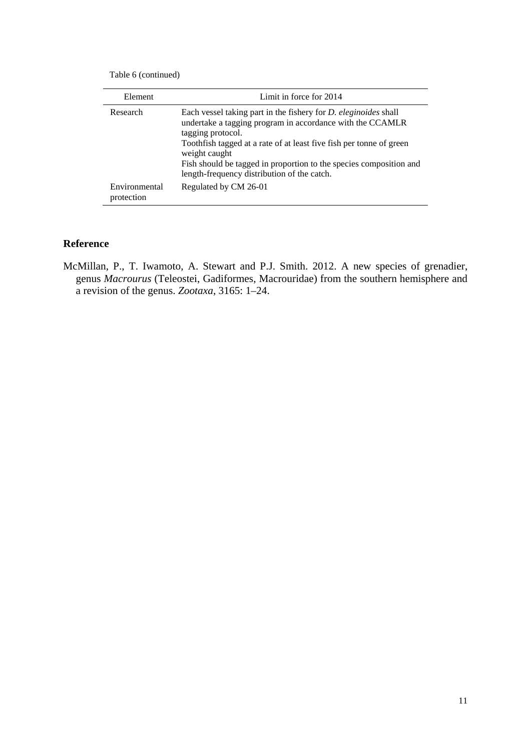Table 6 (continued)

| Element                     | Limit in force for 2014                                                                                                                                                                                                                                                                                                                                                |
|-----------------------------|------------------------------------------------------------------------------------------------------------------------------------------------------------------------------------------------------------------------------------------------------------------------------------------------------------------------------------------------------------------------|
| Research                    | Each vessel taking part in the fishery for <i>D. eleginoides</i> shall<br>undertake a tagging program in accordance with the CCAMLR<br>tagging protocol.<br>Tooth fish tagged at a rate of at least five fish per tonne of green<br>weight caught<br>Fish should be tagged in proportion to the species composition and<br>length-frequency distribution of the catch. |
| Environmental<br>protection | Regulated by CM 26-01                                                                                                                                                                                                                                                                                                                                                  |

# **Reference**

McMillan, P., T. Iwamoto, A. Stewart and P.J. Smith. 2012. A new species of grenadier, genus *Macrourus* (Teleostei, Gadiformes, Macrouridae) from the southern hemisphere and a revision of the genus. *Zootaxa*, 3165: 1–24.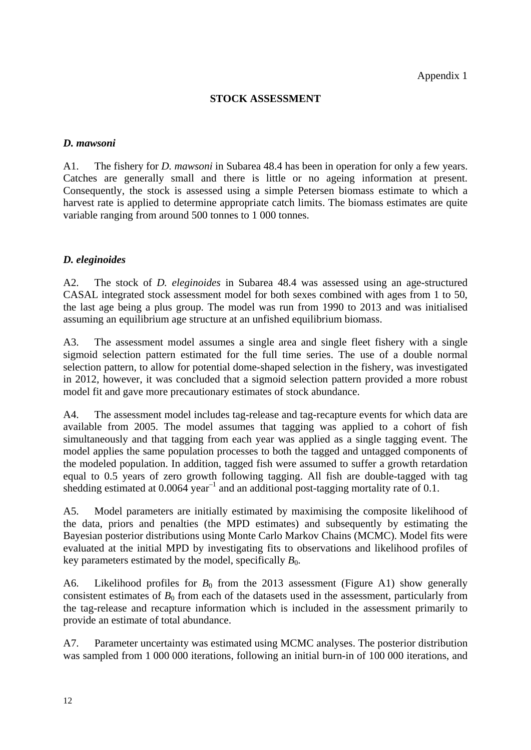# **STOCK ASSESSMENT**

# *D. mawsoni*

A1. The fishery for *D. mawsoni* in Subarea 48.4 has been in operation for only a few years. Catches are generally small and there is little or no ageing information at present. Consequently, the stock is assessed using a simple Petersen biomass estimate to which a harvest rate is applied to determine appropriate catch limits. The biomass estimates are quite variable ranging from around 500 tonnes to 1 000 tonnes.

# *D. eleginoides*

A2. The stock of *D. eleginoides* in Subarea 48.4 was assessed using an age-structured CASAL integrated stock assessment model for both sexes combined with ages from 1 to 50, the last age being a plus group. The model was run from 1990 to 2013 and was initialised assuming an equilibrium age structure at an unfished equilibrium biomass.

A3. The assessment model assumes a single area and single fleet fishery with a single sigmoid selection pattern estimated for the full time series. The use of a double normal selection pattern, to allow for potential dome-shaped selection in the fishery, was investigated in 2012, however, it was concluded that a sigmoid selection pattern provided a more robust model fit and gave more precautionary estimates of stock abundance.

A4. The assessment model includes tag-release and tag-recapture events for which data are available from 2005. The model assumes that tagging was applied to a cohort of fish simultaneously and that tagging from each year was applied as a single tagging event. The model applies the same population processes to both the tagged and untagged components of the modeled population. In addition, tagged fish were assumed to suffer a growth retardation equal to 0.5 years of zero growth following tagging. All fish are double-tagged with tag shedding estimated at  $0.0064$  year<sup>-1</sup> and an additional post-tagging mortality rate of 0.1.

A5. Model parameters are initially estimated by maximising the composite likelihood of the data, priors and penalties (the MPD estimates) and subsequently by estimating the Bayesian posterior distributions using Monte Carlo Markov Chains (MCMC). Model fits were evaluated at the initial MPD by investigating fits to observations and likelihood profiles of key parameters estimated by the model, specifically  $B_0$ .

A6. Likelihood profiles for  $B_0$  from the 2013 assessment (Figure A1) show generally consistent estimates of  $B_0$  from each of the datasets used in the assessment, particularly from the tag-release and recapture information which is included in the assessment primarily to provide an estimate of total abundance.

A7. Parameter uncertainty was estimated using MCMC analyses. The posterior distribution was sampled from 1 000 000 iterations, following an initial burn-in of 100 000 iterations, and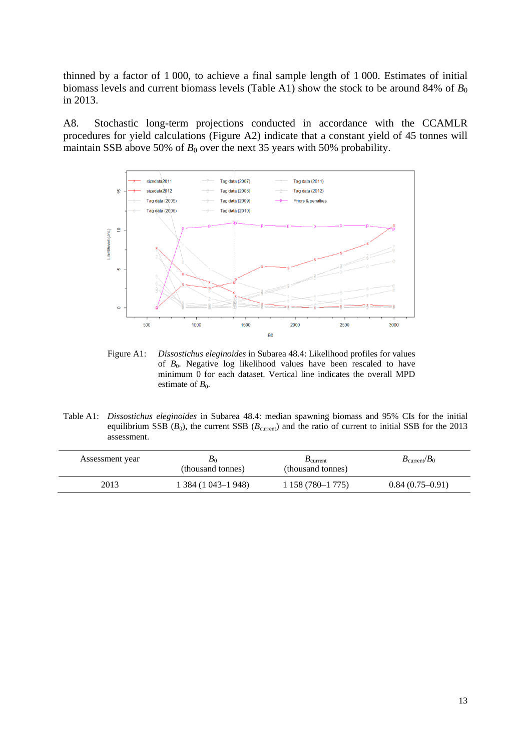thinned by a factor of 1 000, to achieve a final sample length of 1 000. Estimates of initial biomass levels and current biomass levels (Table A1) show the stock to be around 84% of  $B_0$ in 2013.

A8. Stochastic long-term projections conducted in accordance with the CCAMLR procedures for yield calculations (Figure A2) indicate that a constant yield of 45 tonnes will maintain SSB above 50% of  $B_0$  over the next 35 years with 50% probability.



Figure A1: *Dissostichus eleginoides* in Subarea 48.4: Likelihood profiles for values of *B*0. Negative log likelihood values have been rescaled to have minimum 0 for each dataset. Vertical line indicates the overall MPD estimate of  $B_0$ .

Table A1: *Dissostichus eleginoides* in Subarea 48.4: median spawning biomass and 95% CIs for the initial equilibrium SSB  $(B_0)$ , the current SSB  $(B_{\text{current}})$  and the ratio of current to initial SSB for the 2013 assessment.

| Assessment year | $\bm{D}_0$<br>(thousand tonnes) | $\mathbf{D}_{\text{current}}$<br>(thousand tonnes) | $B_{\text{current}}/B_0$ |
|-----------------|---------------------------------|----------------------------------------------------|--------------------------|
| 2013            | 1 384 (1 043–1 948)             | 1 158 (780–1 775)                                  | $0.84(0.75-0.91)$        |